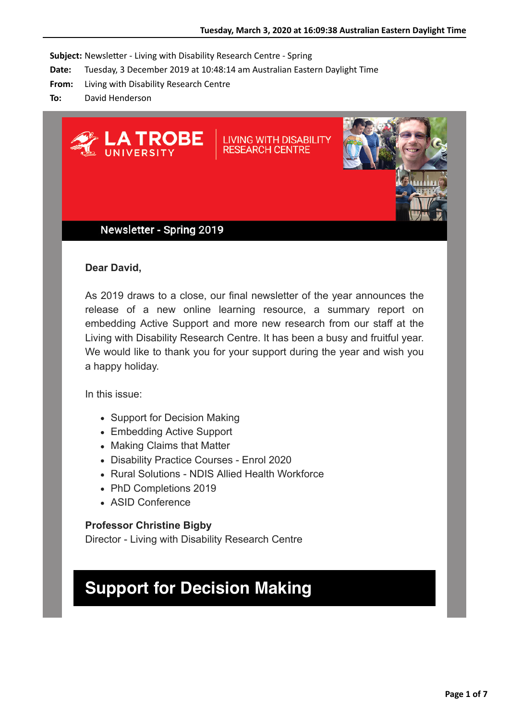**Subject:** Newsletter - Living with Disability Research Centre - Spring

- **Date:** Tuesday, 3 December 2019 at 10:48:14 am Australian Eastern Daylight Time
- **From:** Living with Disability Research Centre
- **To:** David Henderson



### Newsletter - Spring 2019

#### **Dear David,**

As 2019 draws to a close, our final newsletter of the year announces the release of a new online learning resource, a summary report on embedding Active Support and more new research from our staff at the Living with Disability Research Centre. It has been a busy and fruitful year. We would like to thank you for your support during the year and wish you a happy holiday.

In this issue:

- Support for Decision Making
- Embedding Active Support
- Making Claims that Matter
- Disability Practice Courses Enrol 2020
- Rural Solutions NDIS Allied Health Workforce
- PhD Completions 2019
- ASID Conference

#### **Professor Christine Bigby**

Director - Living with Disability Research Centre

## **Support for Decision Making**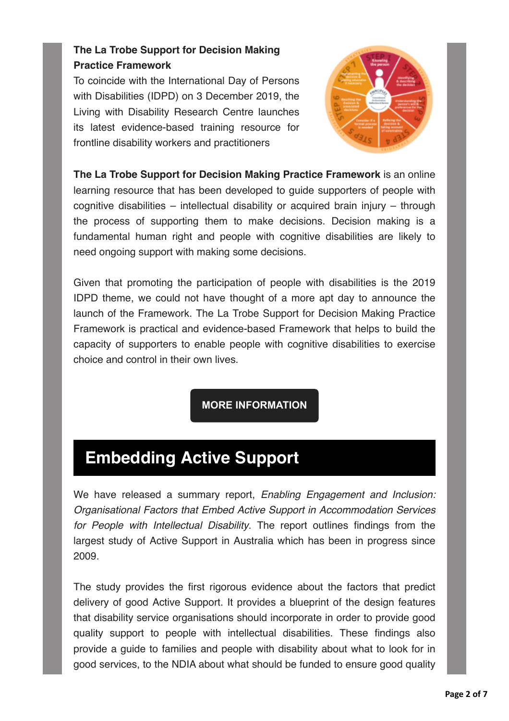### **The La Trobe Support for Decision Making Practice Framework**

To coincide with the International Day of Persons with Disabilities (IDPD) on 3 December 2019, the Living with Disability Research Centre launches its latest evidence-based training resource for frontline disability workers and practitioners



**The La Trobe Support for Decision Making Practice Framework** is an online learning resource that has been developed to guide supporters of people with cognitive disabilities – intellectual disability or acquired brain injury – through the process of supporting them to make decisions. Decision making is a fundamental human right and people with cognitive disabilities are likely to need ongoing support with making some decisions.

Given that promoting the participation of people with disabilities is the 2019 IDPD theme, we could not have thought of a more apt day to announce the launch of the Framework. The La Trobe Support for Decision Making Practice Framework is practical and evidence-based Framework that helps to build the capacity of supporters to enable people with cognitive disabilities to exercise choice and control in their own lives.

**[MORE INFORMATION](https://protect-au.mimecast.com/s/LWt2CgZovLtNY2goIgeeqh?domain=latrobe.us10.list-manage.com)**

# **Embedding Active Support**

We have released a summary report, *Enabling Engagement and Inclusion: Organisational Factors that Embed Active Support in Accommodation Services for People with Intellectual Disability*. The report outlines findings from the largest study of Active Support in Australia which has been in progress since 2009.

The study provides the first rigorous evidence about the factors that predict delivery of good Active Support. It provides a blueprint of the design features that disability service organisations should incorporate in order to provide good quality support to people with intellectual disabilities. These findings also provide a guide to families and people with disability about what to look for in good services, to the NDIA about what should be funded to ensure good quality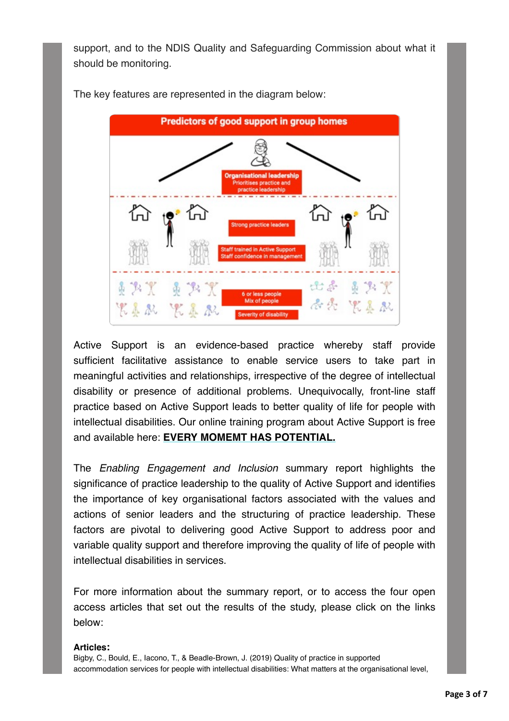support, and to the NDIS Quality and Safeguarding Commission about what it should be monitoring.



The key features are represented in the diagram below:

Active Support is an evidence-based practice whereby staff provide sufficient facilitative assistance to enable service users to take part in meaningful activities and relationships, irrespective of the degree of intellectual disability or presence of additional problems. Unequivocally, front-line staff practice based on Active Support leads to better quality of life for people with intellectual disabilities. Our online training program about Active Support is free and available here: **[EVERY MOMEMT HAS POTENTIAL.](https://protect-au.mimecast.com/s/yaIFCjZryqtAyq6BF0DPPP?domain=latrobe.us10.list-manage.com)**

The *Enabling Engagement and Inclusion* summary report highlights the significance of practice leadership to the quality of Active Support and identifies the importance of key organisational factors associated with the values and actions of senior leaders and the structuring of practice leadership. These factors are pivotal to delivering good Active Support to address poor and variable quality support and therefore improving the quality of life of people with intellectual disabilities in services.

For more information about the summary report, or to access the four open access articles that set out the results of the study, please click on the links below:

#### **Articles:**

Bigby, C., Bould, E., Iacono, T., & Beadle-Brown, J. (2019) Quality of practice in supported accommodation services for people with intellectual disabilities: What matters at the organisational level,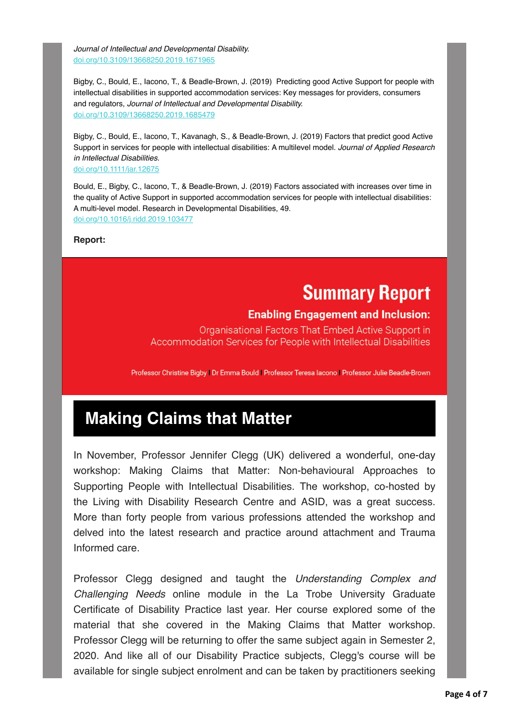*Journal of Intellectual and Developmental Disability.*  [doi.org/10.3109/13668250.2019.1671965](https://protect-au.mimecast.com/s/kacqCk8vzZU4qQLKSOx_q4?domain=latrobe.us10.list-manage.com)

Bigby, C., Bould, E., Iacono, T., & Beadle-Brown, J. (2019) Predicting good Active Support for people with intellectual disabilities in supported accommodation services: Key messages for providers, consumers and regulators, *Journal of Intellectual and Developmental Disability.*  [doi.org/10.3109/13668250.2019.1685479](https://protect-au.mimecast.com/s/D_3HClxwA5CkzZ9VcoHned?domain=latrobe.us10.list-manage.com)

Bigby, C., Bould, E., Iacono, T., Kavanagh, S., & Beadle-Brown, J. (2019) Factors that predict good Active Support in services for people with intellectual disabilities: A multilevel model. *Journal of Applied Research in Intellectual Disabilities.*

[doi.org/10.1111/jar.12675](https://protect-au.mimecast.com/s/RZYDCmOxBQc6Rn0guypOuj?domain=latrobe.us10.list-manage.com)

Bould, E., Bigby, C., Iacono, T., & Beadle-Brown, J. (2019) Factors associated with increases over time in the quality of Active Support in supported accommodation services for people with intellectual disabilities: A multi-level model. Research in Developmental Disabilities, 49. [doi.org/10.1016/j.ridd.2019.103477](https://protect-au.mimecast.com/s/9kA6CnxyDrCx6oyPUWcxOe?domain=latrobe.us10.list-manage.com)

**Report:**

# **Summary Report**

### **Enabling Engagement and Inclusion:**

Organisational Factors That Embed Active Support in Accommodation Services for People with Intellectual Disabilities

Professor Christine Bigby | Dr Emma Bould | Professor Teresa Iacono | Professor Julie Beadle-Brown

# **Making Claims that Matter**

In November, Professor Jennifer Clegg (UK) delivered a wonderful, one-day workshop: Making Claims that Matter: Non-behavioural Approaches to Supporting People with Intellectual Disabilities. The workshop, co-hosted by the Living with Disability Research Centre and ASID, was a great success. More than forty people from various professions attended the workshop and delved into the latest research and practice around attachment and Trauma Informed care.

Professor Clegg designed and taught the *Understanding Complex and Challenging Needs* online module in the La Trobe University Graduate Certificate of Disability Practice last year. Her course explored some of the material that she covered in the Making Claims that Matter workshop. Professor Clegg will be returning to offer the same subject again in Semester 2, 2020. And like all of our Disability Practice subjects, Clegg's course will be available for single subject enrolment and can be taken by practitioners seeking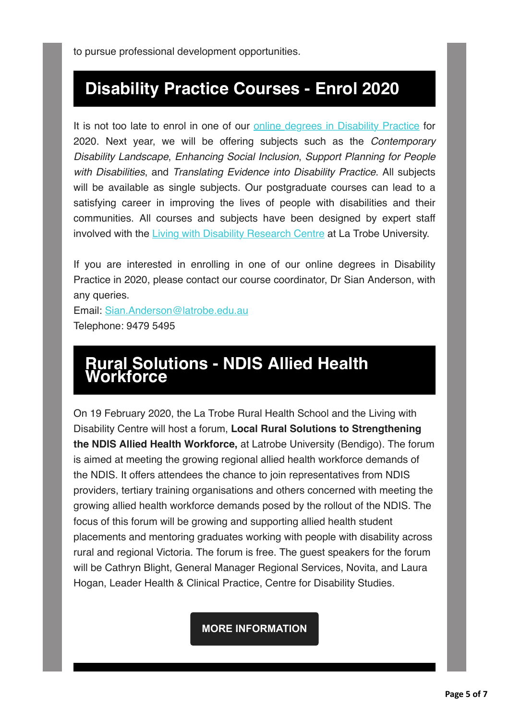## **Disability Practice Courses - Enrol 2020**

It is not too late to enrol in one of our [online degrees in Disability Practice](https://protect-au.mimecast.com/s/LzN9Cp8AGQUyx8lVTKHVst?domain=latrobe.us10.list-manage.com) for 2020. Next year, we will be offering subjects such as the *Contemporary Disability Landscape*, *Enhancing Social Inclusion*, *Support Planning for People with Disabilities*, and *Translating Evidence into Disability Practice*. All subjects will be available as single subjects. Our postgraduate courses can lead to a satisfying career in improving the lives of people with disabilities and their communities. All courses and subjects have been designed by expert staff involved with the [Living with Disabil](https://protect-au.mimecast.com/s/6b5VCq7BJYiR754ECnYZMl?domain=latrobe.us10.list-manage.com)[ity Research Centre](https://protect-au.mimecast.com/s/vX7nCr8DKRU6DvNku7K9ce5?domain=latrobe.us10.list-manage.com) at La Trobe University.

If you are interested in enrolling in one of our online degrees in Disability Practice in 2020, please contact our course coordinator, Dr Sian Anderson, with any queries.

Email: [Sian.Anderson@latrobe.edu.au](mailto:Sian.Anderson@latrobe.edu.au) Telephone: 9479 5495

### **Rural Solutions - NDIS Allied Health Workforce**

On 19 February 2020, the La Trobe Rural Health School and the Living with Disability Centre will host a forum, **Local Rural Solutions to Strengthening the NDIS Allied Health Workforce,** at Latrobe University (Bendigo). The forum is aimed at meeting the growing regional allied health workforce demands of the NDIS. It offers attendees the chance to join representatives from NDIS providers, tertiary training organisations and others concerned with meeting the growing allied health workforce demands posed by the rollout of the NDIS. The focus of this forum will be growing and supporting allied health student placements and mentoring graduates working with people with disability across rural and regional Victoria. The forum is free. The guest speakers for the forum will be Cathryn Blight, General Manager Regional Services, Novita, and Laura Hogan, Leader Health & Clinical Practice, Centre for Disability Studies.

**[MORE INFORMATION](https://protect-au.mimecast.com/s/ElbjCvl0OoH4y6BYSQQBbdv?domain=latrobe.us10.list-manage.com)**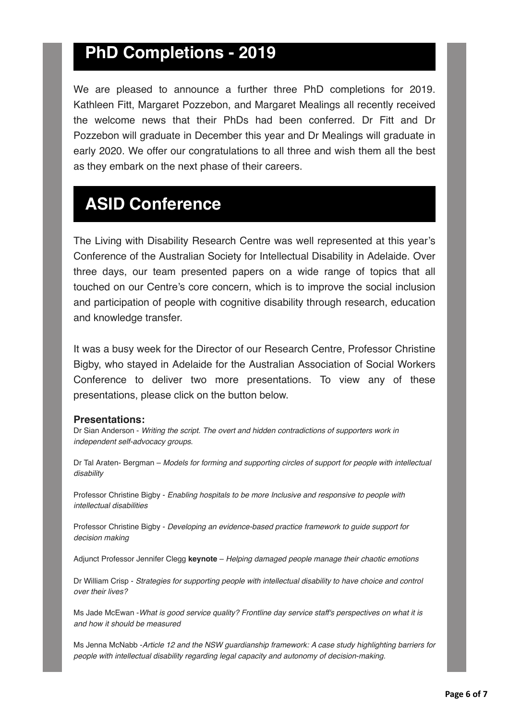### **PhD Completions - 2019**

We are pleased to announce a further three PhD completions for 2019. Kathleen Fitt, Margaret Pozzebon, and Margaret Mealings all recently received the welcome news that their PhDs had been conferred. Dr Fitt and Dr Pozzebon will graduate in December this year and Dr Mealings will graduate in early 2020. We offer our congratulations to all three and wish them all the best as they embark on the next phase of their careers.

## **ASID Conference**

The Living with Disability Research Centre was well represented at this year's Conference of the Australian Society for Intellectual Disability in Adelaide. Over three days, our team presented papers on a wide range of topics that all touched on our Centre's core concern, which is to improve the social inclusion and participation of people with cognitive disability through research, education and knowledge transfer.

It was a busy week for the Director of our Research Centre, Professor Christine Bigby, who stayed in Adelaide for the Australian Association of Social Workers Conference to deliver two more presentations. To view any of these presentations, please click on the button below.

#### **Presentations:**

Dr Sian Anderson - *Writing the script. The overt and hidden contradictions of supporters work in independent self-advocacy groups*.

Dr Tal Araten- Bergman – *Models for forming and supporting circles of support for people with intellectual disability*

Professor Christine Bigby - *Enabling hospitals to be more Inclusive and responsive to people with intellectual disabilities*

Professor Christine Bigby - *Developing an evidence-based practice framework to guide support for decision making*

Adjunct Professor Jennifer Clegg **keynote** – *Helping damaged people manage their chaotic emotions*

Dr William Crisp - *Strategies for supporting people with intellectual disability to have choice and control over their lives?*

Ms Jade McEwan -*What is good service quality? Frontline day service staff's perspectives on what it is and how it should be measured*

Ms Jenna McNabb -*Article 12 and the NSW guardianship framework: A case study highlighting barriers for people with intellectual disability regarding legal capacity and autonomy of decision-making.*